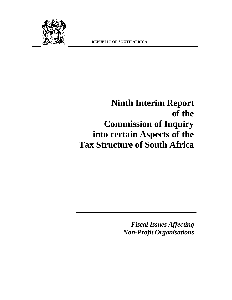

# **Ninth Interim Report of the Commission of Inquiry into certain Aspects of the Tax Structure of South Africa**

*Fiscal Issues Affecting Non-Profit Organisations*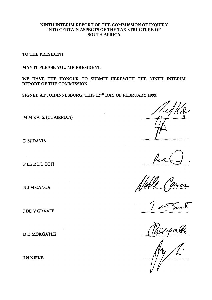#### **NINTH INTERIM REPORT OF THE COMMISSION OF INQUIRY INTO CERTAIN ASPECTS OF THE TAX STRUCTURE OF SOUTH AFRICA**

**TO THE PRESIDENT**

**MAY IT PLEASE YOU MR PRESIDENT:**

**WE HAVE THE HONOUR TO SUBMIT HEREWITH THE NINTH INTERIM REPORT OF THE COMMISSION.**

**SIGNED AT JOHANNESBURG, THIS 12TH DAY OF FEBRUARY 1999.**

M M KATZ (CHAIRMAN)

**DMDAVIS** 

PLE R DU TOIT

N J M CANCA

**J DE V GRAAFF** 

**D D MOKGATLE** 

**JNNJEKE** 

All Canca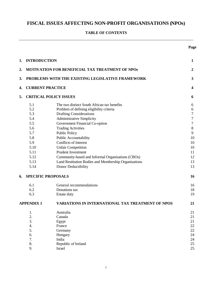# **FISCAL ISSUES AFFECTING NON-PROFIT ORGANISATIONS (NPOs)**

# **TABLE OF CONTENTS**

**Page**

| 1.                | <b>INTRODUCTION</b>                                                         |                                                      | $\mathbf{1}$     |  |
|-------------------|-----------------------------------------------------------------------------|------------------------------------------------------|------------------|--|
| 2.                |                                                                             | MOTIVATION FOR BENEFICIAL TAX TREATMENT OF NPOS      | $\boldsymbol{2}$ |  |
| 3.                | PROBLEMS WITH THE EXISTING LEGISLATIVE FRAMEWORK<br><b>CURRENT PRACTICE</b> |                                                      |                  |  |
| 4.                |                                                                             |                                                      |                  |  |
| 5.                | <b>CRITICAL POLICY ISSUES</b>                                               |                                                      | 6                |  |
|                   | 5.1                                                                         | The two distinct South African tax benefits          | 6                |  |
|                   | 5.2                                                                         | Problem of defining eligibility criteria             | 6                |  |
|                   | 5.3                                                                         | <b>Drafting Considerations</b>                       | $\boldsymbol{7}$ |  |
|                   | 5.4                                                                         | <b>Administrative Simplicity</b>                     | $\boldsymbol{7}$ |  |
|                   | 5.5                                                                         | Government Financial Co-option                       | $\tau$           |  |
|                   | 5.6                                                                         | <b>Trading Activities</b>                            | $\,8\,$          |  |
|                   | 5.7                                                                         | <b>Public Policy</b>                                 | 9                |  |
|                   | 5.8                                                                         | Public Accountability                                | 10               |  |
|                   | 5.9                                                                         | Conflicts of Interest                                | 10               |  |
|                   | 5.10                                                                        | <b>Unfair Competition</b>                            | 10               |  |
|                   | 5.11                                                                        | <b>Prudent Investment</b>                            | 11               |  |
|                   | 5.12                                                                        | Community-based and Informal Organisations (CBOs)    | 12               |  |
|                   | 5.13                                                                        | Land Restitution Bodies and Membership Organisations | 13               |  |
|                   | 5.14                                                                        | Donor Deductibility                                  | 13               |  |
| 6.                | <b>SPECIFIC PROPOSALS</b>                                                   |                                                      | 16               |  |
|                   | 6.1                                                                         | General recommendations                              | 16               |  |
|                   | 6.2                                                                         | Donations tax                                        | 18               |  |
|                   | 6.3                                                                         | Estate duty                                          | 19               |  |
| <b>APPENDIX 1</b> |                                                                             | VARIATIONS IN INTERNATIONAL TAX TREATMENT OF NPOS    | 21               |  |
|                   | 1.                                                                          | Australia                                            | 21               |  |
|                   | 2.                                                                          | Canada                                               | 21               |  |
|                   | 3.                                                                          | Egypt                                                | 21               |  |
|                   | 4.                                                                          | France                                               | 22               |  |
|                   | 5.                                                                          | Germany                                              | 22               |  |
|                   | 6.                                                                          | Hungary                                              | 24               |  |
|                   | 7.                                                                          | India                                                | 24               |  |
|                   | 8.                                                                          | Republic of Ireland                                  | 25               |  |
|                   | 9.                                                                          | Israel                                               | 25               |  |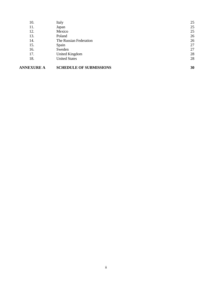| <b>ANNEXURE A</b> | <b>SCHEDULE OF SUBMISSIONS</b> | 30 |
|-------------------|--------------------------------|----|
| 18.               | <b>United States</b>           | 28 |
| 17.               | <b>United Kingdom</b>          | 28 |
| 16.               | Sweden                         | 27 |
| 15.               | Spain                          | 27 |
| 14.               | The Russian Federation         | 26 |
| 13.               | Poland                         | 26 |
| 12.               | Mexico                         | 25 |
| 11.               | Japan                          | 25 |
| 10.               | Italy                          | 25 |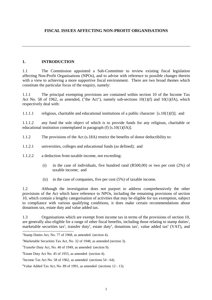#### <span id="page-4-0"></span>**1. INTRODUCTION**

1.1 The Commission appointed a Sub-Committee to review existing fiscal legislation affecting Non-Profit Organisations (NPOs), and to advise with reference to possible changes therein with a view to achieving a more supportive fiscal environment. There are two broad themes which constitute the particular focus of the enquiry, namely:

1.1.1 The principal exempting provisions are contained within section 10 of the Income Tax Act No. 58 of 1962, as amended, ("the Act"), namely sub-sections  $10(1)(f)$  and  $10(1)(f)$ , which respectively deal with:

1.1.1.1 religious, charitable and educational institutions of a public character  $[s.10(1)(f)];$  and

1.1.1.2 any fund the sole object of which is to provide funds for any religious, charitable or educational institution contemplated in paragraph (f)  $[s.10(1)(fA)].$ 

1.1.2 The provisions of the Act (s.18A) restrict the benefits of donor deductibility to:

1.1.2.1 universities, colleges and educational funds (as defined); and

1.1.2.2 a deduction from taxable income, not exceeding:

- (i) in the case of individuals, five hundred rand (R500,00) or two per cent (2%) of taxable income; and
- (ii) in the case of companies, five per cent (5%) of taxable income.

1.2 Although the investigation does not purport to address comprehensively the other provisions of the Act which have reference to NPOs, including the remaining provisions of section 10, which contain a lengthy categorisation of activities that may be eligible for tax exemption, subject to compliance with various qualifying conditions, it does make certain recommendations about donations tax, estate duty and value added tax.

1.3 Organisations which are exempt from income tax in terms of the provisions of section 10, are generally also eligible for a range of other fiscal benefits, including those relating to stamp duties<sup>1</sup>, marketable securities tax<sup>2</sup>, transfer duty<sup>3</sup>, estate duty<sup>4</sup>, donations tax<sup>5</sup>, value added tax<sup>6</sup> (VAT), and

 $\overline{\phantom{a}}$ 

<sup>&</sup>lt;sup>1</sup>Stamp Duties Act, No. 77 of 1968, as amended (section 4).

<sup>&</sup>lt;sup>2</sup>Marketable Securities Tax Act, No. 32 of 1948, as amended (section 3).

 $3$ Transfer Duty Act, No. 40 of 1949, as amended (section 9).

<sup>4</sup>Estate Duty Act No. 45 of 1955, as amended (section 4).

<sup>5</sup> Income Tax Act No. 58 of 1962, as amended (sections 54 - 64).

<sup>&</sup>lt;sup>6</sup>Value Added Tax Act, No. 89 of 1991, as amended (sections  $12 - 13$ ).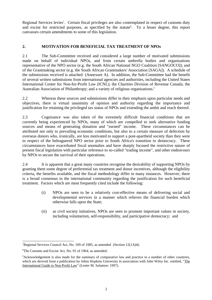<span id="page-5-0"></span>Regional Services levies<sup>7</sup>. Certain fiscal privileges are also contemplated in respect of customs duty and excise for restricted purposes, as specified by the statute<sup>8</sup>. To a lesser degree, this report canvasses certain amendments to some of this legislation.

# **2. MOTIVATION FOR BENEFICIAL TAX TREATMENT OF NPOs**

2.1 The Sub-Committee received and considered a large number of motivated submissions made on behalf of individual NPOs, and from certain umbrella bodies and organisations representative of the NPO sector (e.g. the South African National NGO Coalition [SANGOCO]); and of the Grantmaking sector (e.g. the South African Grantmakers' Association [SAGA]). A schedule of the submissions received is attached (Annexure A). In addition, the Sub-Committee had the benefit of several written submissions from international agencies and authorities, including the United States International Center for Non-for-Profit Law (ICNL); the Charities Division of Revenue Canada; the Australian Association of Philanthropy; and a variety of religious organisations.<sup>9</sup>

2.2 Whereas these sources and submissions differ in their emphasis upon particular needs and objectives, there is virtual unanimity of opinion and authority regarding the importance and justification for retaining the privileged tax status of NPOs and extending the ambit and reach thereof.

2.3 Cognisance was also taken of the extremely difficult financial conditions that are currently being experienced by NPOs, many of which are compelled to seek alternative funding sources and means of generating donation and "earned" income. These circumstances can be attributed not only to prevailing economic conditions, but also to a certain measure of defection by overseas donors who, ironically, are less motivated to support a post-apartheid society than they were in respect of the beleaguered NPO sector prior to South Africa's transition to democracy. These circumstances have exacerbated fiscal anomalies and have sharply focused the restrictive nature of present fiscal legislation with particular reference to so-called "trading income", and other endeavours by NPOs to secure the survival of their operations.

2.4 It is apparent that a great many countries recognise the desirability of supporting NPOs by granting them some degree of preferential tax treatment and donor incentives, although the eligibility criteria, the benefits available, and the fiscal methodology differ in many instances. However, there is a broad consensus in the international community regarding the justification for such beneficial treatment. Factors which are most frequently cited include the following:

- (i) NPOs are seen to be a relatively cost-effective means of delivering social and developmental services in a manner which relieves the financial burden which otherwise falls upon the State;
- (ii) as civil society initiatives, NPOs are seen to promote important values in society, including voluntarism, self-responsibility, and participative democracy; and

l

<sup>&</sup>lt;sup>7</sup>Regional Services Council Act, No. 109 of 1985, as amended (Section 12(1A)d).

<sup>&</sup>lt;sup>8</sup>The Customs and Excise Act, No. 91 of 1964, as amended.

<sup>9</sup>Acknowledgement is also made for the summary of comparative law and practice in a number of other countries, which are derived from a publication by Johns Hopkins University in association with John Wiley Inc. entitled, "The International Guide to Non Profit Law" (Lester M. Salamon: 1997).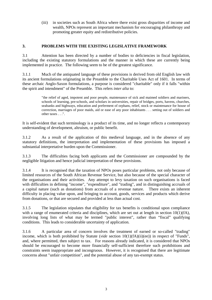<span id="page-6-0"></span>(iii) in societies such as South Africa where there exist gross disparities of income and wealth, NPOs represent an important mechanism for encouraging philanthropy and promoting greater equity and redistributive policies.

#### **3. PROBLEMS WITH THE EXISTING LEGISLATIVE FRAMEWORK**

3.1 Attention has been directed by a number of bodies to deficiencies in fiscal legislation, including the existing statutory formulations and the manner in which these are currently being implemented in practice. The following seem to be of the greatest significance.

3.1.1 Much of the antiquated language of these provisions is derived from old English law with its ancient formulations originating in the Preamble to the Charitable Uses Act of 1601. In terms of these archaic Anglo-Saxon formulations, a purpose is considered "charitable" only if it falls "within the spirit and intendment" of the Preamble. This refers *inter alia* to:

> "the relief of aged, impotent and poor people, maintenance of sick and maimed soldiers and mariners, schools of learning, pre-schools, and scholars in universities, repair of bridges, ports, havens, churches, seabanks and highways, education and preferment of orphans, relief, stock or maintenance for house of correction, marriages of poor maids, aid or ease of any poor inhabitants . . . setting out of soldiers and other taxes . . .".

It is self-evident that such terminology is a product of its time, and no longer reflects a contemporary understanding of development, altruism, or public benefit.

3.1.2 As a result of the application of this medieval language, and in the absence of any statutory definitions, the interpretation and implementation of these provisions has imposed a substantial interpretative burden upon the Commissioner.

3.1.3 The difficulties facing both applicants and the Commissioner are compounded by the negligible litigation and hence judicial interpretation of these provisions.

3.1.4 It is recognised that the taxation of NPOs poses particular problems, not only because of limited resources of the South African Revenue Service, but also because of the special character of the organisations and their activities. Any attempt to levy taxation on such organisations is faced with difficulties in defining "income", "expenditure", and "trading", and in distinguishing accruals of a capital nature (such as donations) from accruals of a revenue nature. There exists an inherent difficulty in placing value upon, and bringing to account, goods, services and products which derive from donations, or that are secured and provided at less than actual cost.

3.1.5 The legislation stipulates that eligibility for tax benefits is conditional upon compliance with a range of enumerated criteria and disciplines, which are set out at length in section 10(1)(fA), involving long lists of what may be termed "public interest", rather than "fiscal" qualifying conditions. This leads to considerable uncertainty of application.

3.1.6 A particular area of concern involves the treatment of earned or so-called "trading" income, which is both prohibited by Statute (*vide* section 10(1)(fA)(ii)(ee)) in respect of "Funds", and, where permitted, then subject to tax. For reasons already indicated, it is considered that NPOs should be encouraged to become more financially self-sufficient therefore such prohibitions and constraints seem inappropriate and incongruous. However, it is recognised that there are legitimate concerns about "unfair competition", and the potential abuse of any tax-exempt status.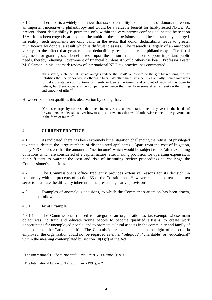<span id="page-7-0"></span>3.1.7 There exists a widely-held view that tax deductibility for the benefit of donors represents an important incentive to philanthropy and would be a valuable benefit for hard-pressed NPOs. At present, donor deductibility is permitted only within the very narrow confines delineated by section 18A. It has been cogently argued that the ambit of these provisions should be substantially enlarged. In reality, such arguments are only valid in the event that donor deductibility leads to greater munificence by donors, a result which is difficult to assess. The research is largely of an anecdotal variety, to the effect that greater donor deductibility results in greater philanthropy. The fiscal argument for granting such benefits rests upon the notion that donations support important public needs, thereby relieving Government of financial burdens it would otherwise bear. Professor Lester M. Salamon, in his landmark review of international NPO tax practice, has commented:

> "In a sense, such special tax advantages reduce the "cost" or "price" of the gift by reducing the tax liabilities that the donor would otherwise bear. Whether such tax incentives actually induce taxpayers to make charitable contributions or merely influence the timing and amount of such gifts is open to debate, but there appears to be compelling evidence that they have some effect at least on the timing and amount of gifts."<sup>10</sup>

However, Salamon qualifies this observation by noting that:

"Critics charge, by contrast, that such incentives are undemocratic since they vest in the hands of private persons, decisions over how to allocate revenues that would otherwise come to the government in the form of taxes."<sup>11</sup>

#### **4. CURRENT PRACTICE**

4.1 As indicated, there has been extremely little litigation challenging the refusal of privileged tax status, despite the large numbers of disappointed applicants. Apart from the cost of litigation, many NPOs discover that the amount of "net income" which would be subject to tax (after excluding donations which are considered of a capital nature) after making provision for operating expenses, is not sufficient to warrant the cost and risk of instituting review proceedings to challenge the Commissioner's decisions.

4.2 The Commissioner's office frequently provides extensive reasons for its decision, in conformity with the precepts of section 33 of the Constitution. However, such stated reasons often serve to illustrate the difficulty inherent in the present legislative provisions.

4.3 Examples of anomalous decisions, to which the Committee's attention has been drawn, include the following.

#### 4.3.1 **First Example**

 $\overline{\phantom{a}}$ 

4.3.1.1 The Commissioner refused to categorise an organisation as tax-exempt, whose main object was "to train and educate young people to become qualified artisans, to create work opportunities for unemployed people, and to promote cultural aspects in the community and family of the people of the Catholic faith". The Commissioner explained that in the light of the criteria employed, the organisation could not be regarded as either "religious", "charitable" or "educational" within the meaning contemplated by section  $10(1)(f)$  of the Act.

<sup>&</sup>lt;sup>10</sup>The International Guide to Nonprofit Law, Lester M. Salamon (1997).

<sup>&</sup>lt;sup>11</sup>The International Guide to Nonprofit Law,  $(1997)$ , at 24.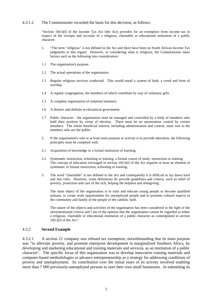#### 4.3.1.2 The Commissioner recorded the basis for this decision, as follows.

"Section  $10(1)(f)$  of the Income Tax Act (the Act) provides for an exemption from income tax in respect of the receipts and accruals of a religious, charitable or educational institution of a public character.

- 1. "The term "religious" is not defined in the Act and there have been no South African Income Tax judgments in this regard. However, in considering what is religious, the Commissioner takes factors such as the following into consideration:
- 1.1 The organisation's purpose.
- 1.2 The actual operations of the organisation.
- 1.3 Regular religious services conducted. This would entail a system of faith, a creed and form of worship.
- 1.4 A regular congregation, the members of which contribute by way of voluntary gifts.
- 1.5 A complete organisation of ordained ministers.
- 1.6 A distinct and definite ecclesiastical government.
- 1.7 Public character the organisation must be managed and controlled by a body of members who hold their position by virtue of election. There must be no autonomous control by certain members. The whole beneficial interest, including administration and control, must vest in the members who are the public.
- 2. If the organisation's sole or at least main purpose or activity is to provide education, the following principles must be complied with:
- 2.1 Acquisition of knowledge in a formal institution of learning.
- 2.2 Systematic instruction, schooling or training, a formal course of study, instruction or training. The concept of education envisaged in section  $10(1)(f)$  of the Act requires at least an element of systematic or formal instruction, schooling or training.
- 3. The word "charitable" is not defined in the Act and consequently it is difficult to lay down hard and fast rules. However, some definitions do provide guidelines and criteria, such as relief of poverty, protection and care of the sick, helping the helpless and almsgiving.

The main object of the organisation is to train and educate young people to become qualified artisans, to create work opportunities for unemployed people and to promote cultural aspects in the community and family of the people of the catholic faith.

The nature of the objects and activities of the organisation has been considered in the light of the aforementioned criteria and I am of the opinion that the organisation cannot be regarded as either a religious, charitable or educational institution of a public character as contemplated in section  $10(1)(f)$  of the Act."

#### 4.3.2 **Second Example**

4.3.2.1 A section 21 company was refused tax exemption, notwithstanding that its main purpose was "to alleviate poverty, and promote enterprise development in marginalised Southern Africa, by developing and marketing educational and training materials and services, as an institution of a public character". The specific focus of this organisation was to develop innovative training materials and computer-based methodologies to advance entrepreneurship as a strategy for addressing conditions of poverty and unemployment. Its contribution over the initial years of its activity involved enabling more than 7 000 previously-unemployed persons to start their own small businesses. In submitting its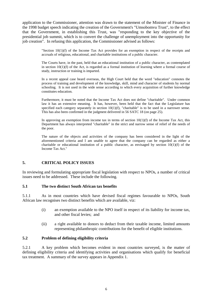<span id="page-9-0"></span>application to the Commissioner, attention was drawn to the statement of the Minister of Finance in the 1998 budget speech indicating the creation of the Government's "Umsobomvu Trust", to the effect that the Government, in establishing this Trust, was "responding to the key objective of the presidential job summit, which is to convert the challenge of unemployment into the opportunity for job creation". In refusing this application, the Commissioner advised as follows:

> "Section 10(1)(f) of the Income Tax Act provides for an exemption in respect of the receipts and accruals of religious, educational, and charitable institutions of a public character.

> The Courts have, in the past, held that an educational institution of a public character, as contemplated in section 10(1)(f) of the Act, is regarded as a formal institution of learning where a formal course of study, instruction or training is imparted.

> In a recent appeal case heard overseas, the High Court held that the word "education" connotes the process of training and development of the knowledge, skill, mind and character of students by normal schooling. It is not used in the wide sense according to which every acquisition of further knowledge constitutes education.

> Furthermore, it must be noted that the Income Tax Act does not define "charitable". Under common law it has an extensive meaning. It has, however, been held that the fact that the Legislature has specified each category separately in section 10(1)(f), "charitable" is to be used in a narrower sense. This has also been confirmed in the judgment delivered in 56 SATC 18 (on page 25).

> In approving an exemption from income tax in terms of section  $10(1)(f)$  of the Income Tax Act, this Department has always interpreted "charitable" in the strict and narrow sense of relief of the needs of the poor.

> The nature of the objects and activities of the company has been considered in the light of the aforementioned criteria and I am unable to agree that the company can be regarded as either a charitable or educational institution of a public character, as envisaged by section  $10(1)(f)$  of the Income Tax Act."

#### **5. CRITICAL POLICY ISSUES**

In reviewing and formulating appropriate fiscal legislation with respect to NPOs, a number of critical issues need to be addressed. These include the following.

#### **5.1 The two distinct South African tax benefits**

5.1.1 As in most countries which have devised fiscal regimes favourable to NPOs, South African law recognises two distinct benefits which are available, viz:

- (i) an exemption available to the NPO itself in respect of its liability for income tax, and other fiscal levies; and
- (ii) a right available to donors to deduct from their taxable income, limited amounts representing philanthropic contributions for the benefit of eligible institutions.

#### **5.2 Problem of defining eligibility criteria**

5.2.1 A key problem which becomes evident in most countries surveyed, is the matter of defining eligibility criteria and identifying activities and organisations which qualify for beneficial tax treatment. A summary of the survey appears in Appendix 1.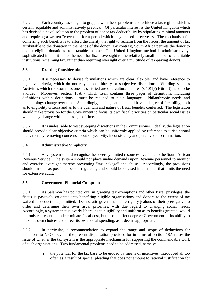<span id="page-10-0"></span>5.2.2 Each country has sought to grapple with these problems and achieve a tax regime which is certain, equitable and administratively practical. Of particular interest is the United Kingdom which has devised a novel solution to the problem of donor tax deductibility by stipulating minimal amounts and requiring a written "covenant" for a period which may exceed three years. The mechanism for conferring such benefits is to afford the charity the right to reclaim from the fiscus, the amount of tax attributable to the donation in the hands of the donor. By contrast, South Africa permits the donor to deduct eligible donations from taxable income. The United Kingdom method is administrativelysophisticated in that it limits the need for fiscal oversight to the relatively small number of charitable institutions reclaiming tax, rather than requiring oversight over a multitude of tax-paying donors.

# **5.3 Drafting Considerations**

5.3.1 It is necessary to devise formulations which are clear, flexible, and have reference to objective criteria, which do not rely upon arbitrary or subjective discretions. Wording such as "activities which the Commissioner is satisfied are of a cultural nature" (s.10(1)(cB)i(dd)) need to be avoided. Moreover, section 18A - which itself contains three pages of definitions, including definitions within definitions - must be reduced to plain language. Philanthropic needs and methodology change over time. Accordingly, the legislation should have a degree of flexibility, both as to eligibility criteria and as to the quantum and nature of fiscal benefits conferred. The legislation should make provision for the Government to focus its own fiscal priorities on particular social issues which may change with the passage of time.

5.3.2 It is undesirable to vest sweeping discretions in the Commissioner. Ideally, the legislation should provide clear objective criteria which can be uniformly applied by reference to jurisdictional facts, thereby removing concerns about subjectivity, inconsistency and perceived discrimination.

# **5.4 Administrative Simplicity**

5.4.1 Any system should recognise the severely limited resources available to the South African Revenue Service. The system should not place undue demands upon Revenue personnel to monitor and exercise oversight thereby preventing "tax leakage" and abuse. Accordingly, the provisions should, insofar as possible, be self-regulating and should be devised in a manner that limits the need for extensive audit.

# **5.5 Government Financial Co-option**

5.5.1 As Salamon has pointed out, in granting tax exemptions and other fiscal privileges, the fiscus is passively co-opted into benefiting eligible organisations and donors to the extent of tax waived or deductions permitted. Democratic governments are rightly jealous of their prerogative to order and determine their own fiscal priorities, with due regard to changing social needs. Accordingly, a system that is overly liberal as to eligibility and uniform as to benefits granted, would not only represent an indeterminate fiscal cost, but also in effect deprive Government of its ability to make its own choices and direct its own social spending, as it deems appropriate.

5.5.2 In particular, a recommendation to expand the range and scope of deductions for donations to NPOs beyond the present dispensation provided for in terms of section 18A raises the issue of whether the tax system is the appropriate mechanism for supporting the commendable work of such organisations. Two fundamental problems need to be addressed, namely:

> (i) the potential for the tax base to be eroded by means of incentives, introduced all too often as a result of special pleading that does not amount to rational justification for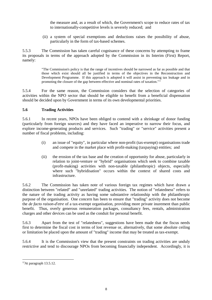the measure and, as a result of which, the Government's scope to reduce rates of tax to internationally-competitive levels is severely reduced; and

(ii) a system of special exemptions and deductions raises the possibility of abuse, particularly in the form of tax-based schemes.

<span id="page-11-0"></span>5.5.3 The Commission has taken careful cognisance of these concerns by attempting to frame its proposals in terms of the approach adopted by the Commission in its Interim (First) Report, namely:

> "The Commission's policy is that the range of incentives should be narrowed as far as possible and that those which exist should all be justified in terms of the objectives in the Reconstruction and Development Programme. If this approach is adopted it will assist in preventing tax leakage and in promoting the closure of the gap between effective and nominal rates of taxation."<sup>12</sup>

5.5.4 For the same reason, the Commission considers that the selection of categories of activities within the NPO sector that should be eligible to benefit from a beneficial dispensation should be decided upon by Government in terms of its own developmental priorities.

# **5.6 Trading Activities**

5.6.1 In recent years, NPOs have been obliged to contend with a shrinkage of donor funding (particularly from foreign sources) and they have faced an imperative to narrow their focus, and explore income-generating products and services. Such "trading" or "service" activities present a number of fiscal problems, including:

- (i) an issue of "equity", in particular where non-profit (tax-exempt) organisations trade and compete in the market place with profit-making (taxpaying) entities; and
- (ii) the erosion of the tax base and the creation of opportunity for abuse, particularly in relation to joint-venture or "hybrid" organisations which seek to combine taxable (profit-making) activities with non-taxable (philanthropic) objects, especially where such "hybridisation" occurs within the context of shared costs and infrastructure.

5.6.2 The Commission has taken note of various foreign tax regimes which have drawn a distinction between "related" and "unrelated" trading activities. The notion of "relatedness" refers to the nature of the trading activity as having some substantive relationship with the philanthropic purpose of the organisation. One concern has been to ensure that "trading" activity does not become the *de facto raison-d'etre* of a tax-exempt organisation, providing more private inurement than public benefit. Thus, overly generous remuneration packages, consultancy fees, rentals, administration charges and other devices can be used as the conduit for personal benefit.

5.6.3 Apart from the test of "relatedness", suggestions have been made that the fiscus needs first to determine the fiscal cost in terms of lost revenue or, alternatively, that some absolute ceiling or limitation be placed upon the amount of "trading" income that may be treated as tax-exempt.

5.6.4 It is the Commission's view that the present constraints on trading activities are unduly restrictive and tend to discourage NPOs from becoming financially independent. Accordingly, it is

 $\overline{\phantom{a}}$ 

 $12$ At paragraph 13.5.12.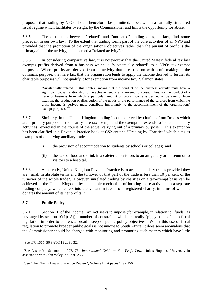<span id="page-12-0"></span>proposed that trading by NPOs should henceforth be permitted, albeit within a carefully structured fiscal regime which facilitates oversight by the Commissioner and limits the opportunity for abuse.

5.6.5 The distinction between "related" and "unrelated" trading does, in fact, find some precedent in our own law. To the extent that trading forms part of the core activities of an NPO and provided that the promotion of the organisation's objectives rather than the pursuit of profit is the primary aim of the activity, it is deemed a "related activity".<sup>13</sup>

5.6.6 In considering comparative law, it is noteworthy that the United States' federal tax law exempts profits derived from a business which is "substantially related" to a NPOs tax-exempt purposes. Where profits are derived from an activity that is carried on with profit-making as the dominant purpose, the mere fact that the organisation tends to apply the income derived to further its charitable purposes will not qualify it for exemption from income tax. Salamon states:

> "Substantially related in this context means that the conduct of the business activity must have a significant causal relationship to the achievement of a tax-exempt purpose. Thus, for the conduct of a trade or business from which a particular amount of gross income is derived to be exempt from taxation, the production or distribution of the goods or the performance of the services from which the gross income is derived must contribute importantly to the accomplishment of the organisations' exempt purposes."<sup>14</sup>

5.6.7 Similarly, in the United Kingdom trading income derived by charities from "trades which are a primary purpose of the charity" are tax-exempt and the exemption extends to include ancillary activities "exercised in the course of the actual carrying out of a primary purpose". This exemption has been clarified in a Revenue Practice booklet CS2 entitled "Trading by Charities" which cites as examples of qualifying ancillary trades:

- (i) the provision of accommodation to students by schools or colleges; and
- (ii) the sale of food and drink in a cafeteria to visitors to an art gallery or museum or to visitors to a hospital.

5.6.8 Apparently, United Kingdom Revenue Practice is to accept ancillary trades provided they are "small in absolute terms and the turnover of that part of the trade is less than 10 per cent of the turnover of the whole trade". However, unrelated trading by charities on a tax-exempt basis can be achieved in the United Kingdom by the simple mechanism of locating these activities in a separate trading company, which enters into a covenant in favour of a registered charity, in terms of which it donates the amount of its net profits.<sup>15</sup>

# **5.7 Public Policy**

5.7.1 Section 10 of the Income Tax Act seeks to impose (for example, in relation to "funds" as envisaged by section 10(1)(fA)) a number of constraints which are really "piggy-backed" onto fiscal legislation in order to address a broad sweep of public policy objectives. Whilst this use of fiscal regulation to promote broader public goals is not unique to South Africa, it does seem anomalous that the Commissioner should be charged with monitoring and promoting such matters which have little

 $\overline{a}$ 

<sup>&</sup>lt;sup>13</sup>See ITC 1565, 56 SATC 18 at 31-32.

<sup>&</sup>lt;sup>14</sup>See Lester M. Salamon. 1997. *The International Guide to Non Profit Law*. Johns Hopkins. University in association with John Wiley Inc., par. 25.7.

<sup>&</sup>lt;sup>15</sup>See "The Charity Law and Practice Review", Volume III at pages  $149 - 156$ .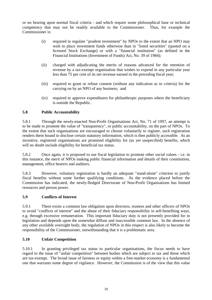<span id="page-13-0"></span>or no bearing upon normal fiscal criteria - and which require some philosophical base or technical competency that may not be readily available to the Commissioner. Thus, for example the Commissioner is:

- (i) required to regulate "prudent investment" by NPOs to the extent that an NPO may wish to place investment funds otherwise than in "listed securities" (quoted on a licensed Stock Exchange) or with a "financial institution" (as defined in the Financial Institutions (Investment of Funds) Act, No. 39 of 1984);
- (ii) charged with adjudicating the merits of reasons advanced for the retention of revenue by a tax-exempt organisation that wishes to expend in any particular year less than 75 per cent of its net revenue earned in the preceding fiscal year;
- (iii) required to grant or refuse consent (without any indication as to criteria) for the carrying on by an NPO of any business; and
- (iv) required to approve expenditures for philanthropic purposes where the beneficiary is outside the Republic.

# **5.8 Public Accountability**

5.8.1 Through the newly-enacted Non-Profit Organisations Act, No. 71 of 1997, an attempt is to be made to promote the value of "transparency", or public accountability, on the part of NPOs. To the extent that such organisations are encouraged to choose voluntarily to register, such registration renders them bound to disclose certain statutory information, which is then publicly accessible. As an incentive, registered organisations are promised eligibility for (as yet unspecified) benefits, which will no doubt include eligibility for beneficial tax status.

5.8.2 Once again, it is proposed to use fiscal legislation to promote other social values - i.e. in this instance, the merit of NPOs making public financial information and details of their constitution, management, office bearers and auditors.

5.8.3 However, voluntary registration is hardly an adequate "stand-alone" criterion to justify fiscal benefits without some further qualifying conditions. As the evidence placed before the Commission has indicated, the newly-fledged Directorate of Non-Profit Organisations has limited resources and person power.

#### **5.9 Conflicts of Interest**

5.9.1 There exists a common law obligation upon directors, trustees and other officers of NPOs to avoid "conflicts of interest" and the abuse of their fiduciary responsibility in self-benefiting ways, e.g. through excessive remuneration. This important fiduciary duty is not presently provided for in legislation and depends upon the somewhat diffuse and inaccessible common law. In the absence of any other available oversight body, the regulation of NPOs in this respect is also likely to become the responsibility of the Commissioner, notwithstanding that it is a problematic area.

#### **5.10 Unfair Competition**

5.10.1 In granting privileged tax status to particular organisations, the fiscus needs to have regard to the issue of "unfair competition" between bodies which are subject to tax and those which are tax-exempt. The broad issue of fairness or equity within a free-market economy is a fundamental one that warrants some degree of vigilance. However, the Commission is of the view that this value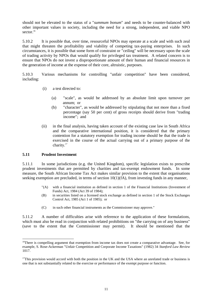<span id="page-14-0"></span>should not be elevated to the status of a "*summum bonum*" and needs to be counter-balanced with other important values in society, including the need for a strong, independent, and viable NPO sector $16$ 

5.10.2 It is possible that, over time, resourceful NPOs may operate at a scale and with such zeal that might threaten the profitability and viability of competing tax-paying enterprises. In such circumstances, it is possible that some form of constraint or "ceiling" will be necessary upon the scale of trading activity by NPOs that would qualify for privileged tax treatment. A related concern is to ensure that NPOs do not invest a disproportionate amount of their human and financial resources in the generation of income at the expense of their core, altruistic, purposes.

5.10.3 Various mechanisms for controlling "unfair competition" have been considered, including:

- (i) a test directed to:
	- (a) "scale", as would be addressed by an absolute limit upon turnover per annum; or
	- (b) "character", as would be addressed by stipulating that not more than a fixed percentage (say 50 per cent) of gross receipts should derive from "trading income"; and
- (ii) in the final analysis, having taken account of the existing case law in South Africa and the comparative international position, it is considered that the primary contention for a statutory exemption for trading income should be that the trade is exercised in the course of the actual carrying out of a primary purpose of the charity.<sup>17</sup>

#### **5.11 Prudent Investment**

l

5.11.1 In some jurisdictions (e.g. the United Kingdom), specific legislation exists to prescribe prudent investments that are permitted by charities and tax-exempt endowment funds. In some measure, the South African Income Tax Act makes similar provision to the extent that organisations seeking exemption are precluded, in terms of section  $10(1)(fA)$ , from investing funds in any manner,

- "(A) with a financial institution as defined in section 1 of the Financial Institutions (Investment of Funds) Act, 1984 (Act 39 of 1984);
- (B) in securities listed on a licensed stock exchange as defined in section 1 of the Stock Exchanges Control Act, 1985 (Act 1 of 1985); or
- (C) in such other financial instruments as the Commissioner may approve."

5.11.2 A number of difficulties arise with reference to the application of these formulations, which must also be read in conjunction with related prohibitions on "the carrying on of any business" (save to the extent that the Commissioner may permit). It should be mentioned that the

<sup>&</sup>lt;sup>16</sup>There is compelling argument that exemption from income tax does not create a comparative advantage. See, for example, S. Rose-Ackerman "Unfair Competition and Corporate Income Taxations" (1982) 34 *Stanford Law Review* 1017.

 $17$ This provision would accord with both the position in the UK and the USA where an unrelated trade or business is one that is not substantially related to the exercise or performance of the exempt purpose or function.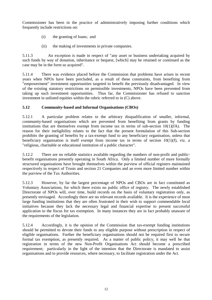<span id="page-15-0"></span>Commissioner has been in the practice of administratively imposing further conditions which frequently include restrictions on:

- (i) the granting of loans; and
- (ii) the making of investments in private companies.

5.11.3 An exception is made in respect of "any asset or business undertaking acquired by such funds by way of donation, inheritance or bequest, [which] may be retained or continued as the case may be in the form so acquired".

5.11.4 There was evidence placed before the Commission that problems have arisen in recent years when NPOs have been precluded, as a result of these constraints, from benefiting from "empowerment" investment opportunities targeted to benefit the previously disadvantaged. In view of the existing statutory restrictions on permissible investments, NPOs have been prevented from taking up such investment opportunities. Thus far, the Commissioner has refused to sanction investment in unlisted equities within the rubric referred to in (C) above.

# **5.12 Community-based and Informal Organisations (CBOs)**

5.12.1 A particular problem relates to the arbitrary disqualification of smaller, informal, community-based organisations which are prevented from benefiting from grants by funding institutions that are themselves exempt from income tax in terms of sub-section  $10(1)(fA)$ . The reason for their ineligibility relates to the fact that the present formulation of this Sub-section prohibits the granting of benefits by a tax-exempt fund to any beneficiary organisation, unless that beneficiary organisation is itself exempt from income tax in terms of section 10(1)(f), viz. a "religious, charitable or educational institution of a public character".

5.12.2 There are no reliable statistics available regarding the numbers of non-profit and publicbenefit organisations presently operating in South Africa. Only a limited number of more formally structured organisations have brought themselves within the purview of official registers maintained respectively in respect of Trusts and section 21 Companies and an even more limited number within the purview of the Tax Authorities.

5.12.3 However, by far the largest percentage of NPOs and CBOs are in fact constituted as Voluntary Associations, for which there exists no public office of registry. The newly established Directorate of NPOs will, over time, build records on the basis of voluntary registration only, as presently envisaged. Accordingly there are no relevant records available. It is the experience of most large funding institutions that they are often frustrated in their wish to support commendable local initiatives because they lack the necessary legal and financial expertise to present successful application to the fiscus for tax exemption. In many instances they are in fact probably unaware of the requirements of the legislation.

5.12.4 Accordingly, it is the opinion of the Commission that tax-exempt funding institutions should be permitted to devote their funds to any eligible purpose without prescription in respect of eligible organisations. Further the beneficiary organisations should not be required first to secure formal tax exemption, as presently required. As a matter of public policy, it may well be that registration in terms of the new Non-Profit Organisations Act should become a prescribed requirement; particularly in the light of the intention that the Directorate is mandated to assist organisations and to provide resources, where necessary, to facilitate registration under the Act.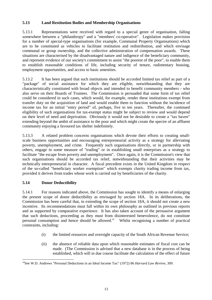# <span id="page-16-0"></span>**5.13 Land Restitution Bodies and Membership Organisations**

5.13.1 Representations were received with regard to a special genre of organisation, falling somewhere between a "philanthropy" and a "members' co-operative". Legislation makes provision for a number of special-type organisations (for example, Communal Property Organisations) which are to be constituted as vehicles to facilitate restitution and redistribution, and which envisage communal or group ownership, and the collective administration of compensation awards. These situations are characterised by the disadvantaged nature and indigence of the beneficiary community, and represent evidence of our society's commitment to assist "the poorest of the poor", to enable them to establish reasonable conditions of life, including security of tenure, rudimentary housing, employment opportunities, and access to basic amenities.

5.13.2 It has been argued that such institutions should be accorded limited tax relief as part of a "package" of social assistance for which they are eligible, notwithstanding that they are characteristically constituted with broad objects and intended to benefit community members - who also serve on their Boards of Trustees. The Commission is persuaded that some form of tax relief could be considered in such cases, which would, for example, render these institutions exempt from transfer duty on the acquisition of land and would enable them to function without the incidence of income tax for an initial "entry period" of, perhaps, five to ten years. Thereafter, the continued eligibility of such organisations for tax-exempt status might be subject to review and would depend on their level of need and deprivation. Obviously it would not be desirable to create a "tax haven" extending beyond the ambit of assistance to the poor and which might create the spectre of an affluent community enjoying a favoured tax shelter indefinitely.

5.13.3 A related problem concerns organisations which devote their efforts to creating smallscale business opportunities and encouraging entrepreneurial activity as a strategy for alleviating poverty, unemployment, and crime. Frequently such organisations directly, or in partnership with others, engage in some measure of "trading" or in establishing small enterprises as a strategy to facilitate "the escape from poverty and unemployment". Once again, it is the Commission's view that such organisations should be accorded tax relief, notwithstanding that their activities may be technically entrepreneurial in character. A fiscal precedent exists in the United Kingdom in respect of the so-called "beneficiary worker exemption" which exempts charity trading income from tax, provided it derives from trades whose work is carried out by beneficiaries of the charity.

# **5.14 Donor Deductibility**

5.14.1 For reasons indicated above, the Commission has sought to identify a means of enlarging the present scope of donor deductibility as envisaged by section 18A. In its deliberations, the Commission has been careful that, in extending the scope of section 18A, it should not create a new incentive. Its recommendations must fall within its own philosophy as outlined in previous reports and as supported by comparative experience. It has also taken account of the persuasive argument that such deductions, proceeding as they must from disinterested benevolence, do not constitute personal consumption and hence should be allowed.<sup>18</sup> Whilst recognising a number of practical constraints, including:

- (i) the limited resources and oversight capacity of the South African Revenue Service;
- (ii) the absence of reliable data upon which reasonable estimates of fiscal cost can be made. (The Commission is advised that a new database is in the process of being established, which will in due course facilitate the calculation of the effect of future

 $\overline{\phantom{a}}$ 18See W.D. Andrews "Personal Deductions in an Ideal Income Tax" (1972) 86 *Harvard Law Review*, 309.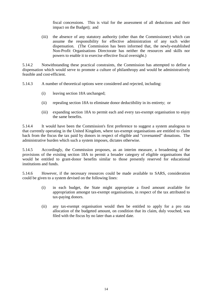fiscal concessions. This is vital for the assessment of all deductions and their impact on the Budget); and

(iii) the absence of any statutory authority (other than the Commissioner) which can assume the responsibility for effective administration of any such wider dispensation. (The Commission has been informed that, the newly-established Non-Profit Organisations Directorate has neither the resources and skills nor powers to enable it to exercise effective fiscal oversight.)

5.14.2 Notwithstanding these practical constraints, the Commission has attempted to define a dispensation which would serve to promote a culture of philanthropy and would be administratively feasible and cost-efficient.

5.14.3 A number of theoretical options were considered and rejected, including:

- (i) leaving section 18A unchanged;
- (ii) repealing section 18A to eliminate donor deductibility in its entirety; or
- (iii) expanding section 18A to permit each and every tax-exempt organisation to enjoy the same benefits.

5.14.4 It would have been the Commission's first preference to suggest a system analogous to that currently operating in the United Kingdom, where tax-exempt organisations are entitled to claim back from the fiscus the tax paid by donors in respect of eligible and "covenanted" donations. The administrative burden which such a system imposes, dictates otherwise.

5.14.5 Accordingly, the Commission proposes, as an interim measure, a broadening of the provisions of the existing section 18A to permit a broader category of eligible organisations that would be entitled to grant-donor benefits similar to those presently reserved for educational institutions and funds.

5.14.6 However, if the necessary resources could be made available to SARS, consideration could be given to a system devised on the following lines:

- (i) in each budget, the State might appropriate a fixed amount available for appropriation amongst tax-exempt organisations, in respect of the tax attributed to tax-paying donors.
- (ii) any tax-exempt organisation would then be entitled to apply for a pro rata allocation of the budgeted amount, on condition that its claim, duly vouched, was filed with the fiscus by no later than a stated date.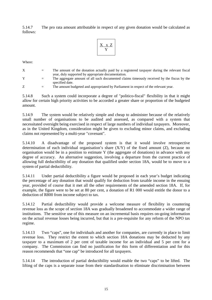5.14.7 The pro rata amount attributable in respect of any given donation would be calculated as follows:

$$
\begin{array}{|c|} \hline X&x&Z\\ \hline Y\\ \hline \end{array}
$$

Where:

- X = The amount of the donation actually paid by a registered taxpayer during the relevant fiscal year, duly supported by appropriate documentation.
- $Y =$  The aggregate amount of all such documented claims timeously received by the fiscus by the specified date.
- Z = The amount budgeted and appropriated by Parliament in respect of the relevant year.

5.14.8 Such a system could incorporate a degree of "politico-fiscal" flexibility in that it might allow for certain high priority activities to be accorded a greater share or proportion of the budgeted amount.

5.14.9 The system would be relatively simple and cheap to administer because of the relatively small number of organisations to be audited and assessed, as compared with a system that necessitated oversight being exercised in respect of large numbers of individual taxpayers. Moreover, as in the United Kingdom, consideration might be given to excluding minor claims, and excluding claims not represented by a multi-year "covenant".

5.14.10 A disadvantage of the proposed system is that it would involve retrospective determination of each individual organisation's share (X/Y) of the fixed amount (Z), because no organisation would be in a position to estimate Y (the aggregate of donations) in advance with any degree of accuracy. An alternative suggestion, involving a departure from the current practice of allowing full deductibility of any donation that qualified under section 18A, would be to move to a system of partial deductibility.

5.14.11 Under partial deductibility a figure would be proposed in each year's budget indicating the percentage of any donation that would qualify for deduction from taxable income in the ensuing year, provided of course that it met all the other requirements of the amended section 18A. If, for example, the figure were to be set at 80 per cent, a donation of R1 000 would entitle the donor to a deduction of R800 from income subject to tax.

5.14.12 Partial deductibility would provide a welcome measure of flexibility in countering revenue loss as the scope of section 18A was gradually broadened to accommodate a wider range of institutions. The sensitive use of this measure on an incremental basis requires on-going information on the actual revenue losses being incurred, but that is a pre-requisite for any reform of the NPO tax regime.

5.14.13 Two "caps", one for individuals and another for companies, are currently in place to limit revenue loss. They restrict the extent to which section 18A donations may be deducted by any taxpayer to a maximum of 2 per cent of taxable income for an individual and 5 per cent for a company. The Commission can find no justification for this form of differentiation and for this reason recommends that "one cap" be introduced for all taxpayers.

5.14.14 The introduction of partial deductibility would enable the two "caps" to be lifted. The lifting of the caps is a separate issue from their standardisation to eliminate discrimination between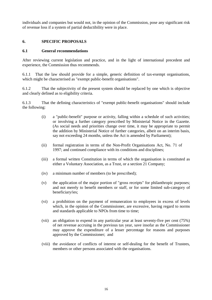<span id="page-19-0"></span>individuals and companies but would not, in the opinion of the Commission, pose any significant risk of revenue loss if a system of partial deductibility were in place.

# **6. SPECIFIC PROPOSALS**

#### **6.1 General recommendations**

After reviewing current legislation and practice, and in the light of international precedent and experience, the Commission thus recommends.

6.1.1 That the law should provide for a simple, generic definition of tax-exempt organisations, which might be characterised as "exempt public-benefit organisations".

6.1.2 That the subjectivity of the present system should be replaced by one which is objective and clearly defined as to eligibility criteria.

6.1.3 That the defining characteristics of "exempt public-benefit organisations" should include the following:

- (i) a "public-benefit" purpose or activity, falling within a schedule of such activities; or involving a further category prescribed by Ministerial Notice in the Gazette. (As social needs and priorities change over time, it may be appropriate to permit the addition by Ministerial Notice of further categories, albeit on an interim basis, say not exceeding 24 months, unless the Act is amended by Parliament);
- (ii) formal registration in terms of the Non-Profit Organisations Act, No. 71 of 1997; and continued compliance with its conditions and disciplines;
- (iii) a formal written Constitution in terms of which the organisation is constituted as either a Voluntary Association, as a Trust, or a section 21 Company;
- (iv) a minimum number of members (to be prescribed);
- (v) the application of the major portion of "gross receipts" for philanthropic purposes; and not merely to benefit members or staff, or for some limited sub-category of beneficiary/ies;
- (vi) a prohibition on the payment of remuneration to employees in excess of levels which, in the opinion of the Commissioner, are excessive, having regard to norms and standards applicable to NPOs from time to time;
- (vii) an obligation to expend in any particular year at least seventy-five per cent (75%) of net revenue accruing in the previous tax year, save insofar as the Commissioner may approve the expenditure of a lesser percentage for reasons and purposes approved by the Commissioner; and
- (viii) the avoidance of conflicts of interest or self-dealing for the benefit of Trustees, members or other persons associated with the organisations.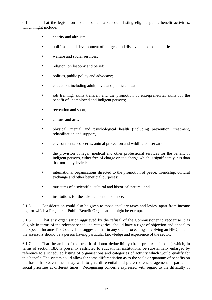6.1.4 That the legislation should contain a schedule listing eligible public-benefit activities, which might include:

- charity and altruism;
- upliftment and development of indigent and disadvantaged communities;
- welfare and social services:
- religion, philosophy and belief;
- politics, public policy and advocacy;
- education, including adult, civic and public education;
- job training, skills transfer, and the promotion of entrepreneurial skills for the benefit of unemployed and indigent persons;
- recreation and sport;
- culture and arts:
- physical, mental and psychological health (including prevention, treatment, rehabilitation and support);
- environmental concerns, animal protection and wildlife conservation;
- the provision of legal, medical and other professional services for the benefit of indigent persons, either free of charge or at a charge which is significantly less than that normally levied;
- international organisations directed to the promotion of peace, friendship, cultural exchange and other beneficial purposes;
- museums of a scientific, cultural and historical nature; and
- institutions for the advancement of science.

6.1.5 Consideration could also be given to those ancillary taxes and levies, apart from income tax, for which a Registered Public Benefit Organisation might be exempt.

6.1.6 That any organisation aggrieved by the refusal of the Commissioner to recognise it as eligible in terms of the relevant scheduled categories, should have a right of objection and appeal to the Special Income Tax Court. It is suggested that in any such proceedings involving an NPO, one of the assessors should be a person having particular knowledge and experience of the sector.

6.1.7 That the ambit of the benefit of donor deductibility (from pre-taxed income) which, in terms of section 18A is presently restricted to educational institutions, be substantially enlarged by reference to a scheduled listing of organisations and categories of activity which would qualify for this benefit. The system could allow for some differentiation as to the scale or quantum of benefits on the basis that Government may wish to give differential and preferred encouragement to particular social priorities at different times. Recognising concerns expressed with regard to the difficulty of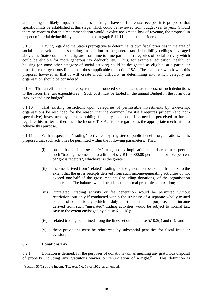<span id="page-21-0"></span>anticipating the likely impact this concession might have on future tax receipts, it is proposed that specific limits be established at this stage, which could be reviewed from budget year to year. Should there be concern that this recommendation would involve too great a loss of revenue, the proposal in respect of partial deductibility contained in paragraph 5.14.11 could be considered.

6.1.8 Having regard to the State's prerogative to determine its own fiscal priorities in the area of social and developmental spending, in addition to the general tax deductibility ceilings envisaged above, the State could also designate from time to time particular categories of social activity which could be eligible for more generous tax deductibility. Thus, for example, education, health, or housing (or some other category of social activity) could be designated as eligible, at a particular time, for more generous limits than those applicable to section 18A. The major drawback with this proposal however is that it will create much difficulty in determining into which category an organisation should be considered.

6.1.9 That an efficient computer system be introduced so as to calculate the cost of such deductions to the fiscus (i.e. tax expenditures). Such cost must be tabled in the annual Budget in the form of a "tax-expenditure budget".

6.1.10 That existing restrictions upon categories of permissible investments by tax-exempt organisations be rescinded for the reason that the common law itself requires prudent (and nonspeculative) investment by persons holding fiduciary positions. If a need is perceived to further regulate this matter further, then the Income Tax Act is not regarded as the appropriate mechanism to achieve this purpose.

6.1.11 With respect to "trading" activities by registered public-benefit organisations, it is proposed that such activities be permitted within the following parameters. That:

- (i) on the basis of the *de minimis* rule, no tax implication should arise in respect of such "trading income" up to a limit of say R100 000,00 per annum, or five per cent of "gross receipts", whichever is the greater;
- (ii) income derived from "related" trading- or fee-generation be exempt from tax, to the extent that the gross receipts derived from such income-generating activities do not exceed one-half of the gross receipts (including donations) of the organisation concerned. The balance would be subject to normal principles of taxation;
- (iii) "unrelated" trading activity or fee generation would be permitted without restriction, but only if conducted within the structure of a separate wholly-owned or controlled subsidiary, which is duly constituted for this purpose. The income derived from such "unrelated" trading activities would be subject to normal tax, save to the extent envisaged by clause 6.1.11(i);
- (iv) related trading be defined along the lines set out in clause 5.10.3(i) and (ii); and
- (v) these provisions must be reinforced by substantial penalties for fiscal fraud or evasion.

#### **6.2 Donations Tax**

 $\overline{\phantom{a}}$ 

6.2.1 Donation is defined, for the purposes of donations tax, as meaning any gratuitous disposal of property including any gratuitous waiver or renunciation of a right.<sup>19</sup> This definition is

<sup>&</sup>lt;sup>19</sup>Section 55(1) of the Income Tax Act, No. 58 of 1962, as amended.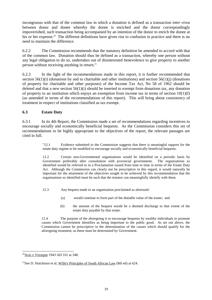<span id="page-22-0"></span>incongruous with that of the common law in which a donation is defined as a transaction *inter vivos* between donor and donee whereby the donee is enriched and the donor correspondingly impoverished, such transaction being accompanied by an intention of the donor to enrich the donee at his or her expense.<sup>20</sup> The different definitions have given rise to confusion in practice and there is no need to maintain the difference.

6.2.2 The Commission recommends that the statutory definition be amended to accord with that of the common law. Donation should thus be defined as a transaction, whereby one person without any legal obligation to do so, undertakes out of disinterested benevolence to give property to another person without receiving anything in return.<sup>21</sup>

6.2.3 In the light of the recommendations made in this report, it is further recommended that section  $56(1)(i)$  (donations by and to charitable and other institutions) and section  $56(1)(i)$  (donations of property for charitable and other purposes) of the Income Tax Act, No 58 of 1962 should be deleted and that a new section 56(1)(i) should be inserted to exempt from donations tax, any donation of property to an institution which enjoys an exemption from income tax in terms of section  $10(1)(f)$ (as amended in terms of the recommendations of this report). This will bring about consistency of treatment in respect of institutions classified as tax exempt.

# **6.3 Estate Duty**

6.3.1 In its 4th Report, the Commission made a set of recommendations regarding incentives to encourage socially and economically beneficial bequests. As the Commission considers this set of recommendations to be highly appropriate to the objectives of the report, the relevant passages are cited in full.

> "12.1 Evidence submitted to the Commission suggests that there is meaningful support for the estate duty regime to be modified to encourage socially and economically beneficial bequests.

> 12.2 Certain non-Governmental organisations would be identified on a periodic basis by Government preferably after consultation with provincial governments. The organisations so identified would be referred to in a Proclamation issued from time to time in terms of the Estate Duty Act. Although the Commission can clearly not be prescriptive in this regard, it would naturally be important for the attainment of the objectives sought to be achieved by this recommendation that the organisations so identified must be such that the testator can meaningfully identify with them.

- 12.3 Any bequest made to an organisation proclaimed as aforesaid:
	- (a) would continue to form part of the dutiable value of the estate; and
	- (b) the amount of the bequest would be a deemed discharge to that extent of the estate duty payable by that estate.

12.4 The purpose of the aforegoing is to encourage bequests by wealthy individuals to promote causes which Government identifies as being important to the public good. As set out above, the Commission cannot be prescriptive in the determination of the causes which should qualify for the aforegoing treatment, as these must be determined by Government.

 $\overline{\phantom{a}}$  $20$ Avis v Verseput 1943 AD 331 at 348.

<sup>&</sup>lt;sup>21</sup>See D. Hutchison et al, Wille's Principles of South African Law (8th ed) at 624.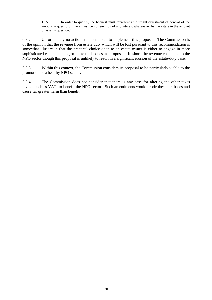12.5 In order to qualify, the bequest must represent an outright divestment of control of the amount in question. There must be no retention of any interest whatsoever by the estate in the amount or asset in question."

6.3.2 Unfortunately no action has been taken to implement this proposal. The Commission is of the opinion that the revenue from estate duty which will be lost pursuant to this recommendation is somewhat illusory in that the practical choice open to an estate owner is either to engage in more sophisticated estate planning or make the bequest as proposed. In short, the revenue channeled to the NPO sector though this proposal is unlikely to result in a significant erosion of the estate-duty base.

6.3.3 Within this context, the Commission considers its proposal to be particularly viable to the promotion of a healthy NPO sector.

6.3.4 The Commission does not consider that there is any case for altering the other taxes levied, such as VAT, to benefit the NPO sector. Such amendments would erode these tax bases and cause far greater harm than benefit.

20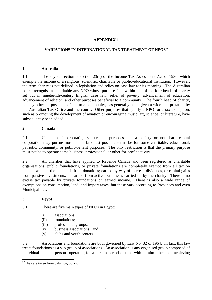# **APPENDIX 1**

# <span id="page-24-0"></span>**VARIATIONS IN INTERNATIONAL TAX TREATMENT OF NPOS<sup>22</sup>**

#### **1. Australia**

1.1 The key subsection is section 23(e) of the Income Tax Assessment Act of 1936, which exempts the income of a religious, scientific, charitable or public-educational institution. However, the term charity is not defined in legislation and relies on case law for its meaning. The Australian courts recognise as charitable any NPO whose purpose falls within one of the four heads of charity set out in nineteenth-century English case law: relief of poverty, advancement of education, advancement of religion, and other purposes beneficial to a community. The fourth head of charity, namely other purposes beneficial to a community, has generally been given a wide interpretation by the Australian Tax Office and the courts. Other purposes that qualify a NPO for a tax exemption, such as promoting the development of aviation or encouraging music, art, science, or literature, have subsequently been added.

#### **2. Canada**

2.1 Under the incorporating statute, the purposes that a society or non-share capital corporation may pursue must in the broadest possible terms be for some charitable, educational, patriotic, community, or public-benefit purposes. The only restriction is that the primary purpose must not be to operate some business, professional, or other for-profit activity.

2.2 All charities that have applied to Revenue Canada and been registered as charitable organisations, public foundations, or private foundations are completely exempt from all tax on income whether the income is from donations; earned by way of interest, dividends, or capital gains from passive investments; or earned from active businesses carried on by the charity. There is no excise tax payable by private foundations on earned income. There is also a wide range of exemptions on consumption, land, and import taxes, but these vary according to Provinces and even Municipalities.

#### **3. Egypt**

 $\overline{\phantom{a}}$ 

3.1 There are five main types of NPOs in Egypt:

- (i) associations;
- (ii) foundations;
- (iii) professional groups;
- (iv) business associations; and
- (v) clubs and youth centers.

3.2 Associations and foundations are both governed by Law No. 32 of 1964. In fact, this law treats foundations as a sub-group of associations. An association is any organised group composed of individual or legal persons operating for a certain period of time with an aim other than achieving

 $22$ They are taken from Salamon, op. cit.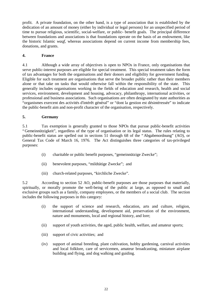<span id="page-25-0"></span>profit. A private foundation, on the other hand, is a type of association that is established by the dedication of an amount of money (either by individual or legal persons) for an unspecified period of time to pursue religious, scientific, social-welfare, or public- benefit goals. The principal difference between foundations and associations is that foundations operate on the basis of an endowment, like the historic Islamic *waqf*, whereas associations depend on current income from membership fees, donations, and grants.

# **4. France**

4.1 Although a wide array of objectives is open to NPOs in France, only organisations that serve public-interest purposes are eligible for special treatment. This special treatment takes the form of tax advantages for both the organisations and their donors and eligibility for government funding. Eligible for such treatment are organisations that serve the broader public rather than their members alone or that take on tasks that would otherwise fall within the responsibility of the state. This generally includes organisations working in the fields of education and research, health and social services, environment, development and housing, advocacy, philanthropy, international activities, or professional and business associations. Such organisations are often designated by state authorities as "organismes exercent des activités d'intérêt général" or "dont la gestion est désintéressée" to indicate the public-benefit aim and non-profit character of the organisation, respectively.

# **5. Germany**

5.1 Tax exemption is generally granted to those NPOs that pursue public-benefit activities "Gemeinnützigkeit", regardless of the type of organisation or its legal status. The rules relating to public-benefit status are spelled out in sections 51 through 68 of the "Abgabenordnung" (AO), or General Tax Code of March 16, 1976. The Act distinguishes three categories of tax-privileged purposes:

- (i) charitable or public benefit purposes, "gemeinnützige Zwecke";
- (ii) benevolent purposes, "mildtätige Zwecke"; and
- (iii) church-related purposes, "kirchliche Zwecke".

5.2 According to section 52 AO, public-benefit purposes are those purposes that materially, spiritually, or morally promote the well-being of the public at large, as opposed to small and exclusive groups such as a family, company employees, or the members of a social club. The section includes the following purposes in this category:

- (i) the support of science and research, education, arts and culture, religion, international understanding, development aid, preservation of the environment, nature and monuments, local and regional history, and lore;
- (ii) support of youth activities, the aged, public health, welfare, and amateur sports;
- (iii) support of civic activities; and
- (iv) support of animal breeding, plant cultivation, hobby gardening, carnival activities and local folklore, care of servicemen, amateur broadcasting, miniature airplane building and flying, and dog walking and guiding.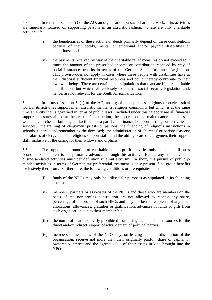5.3 In terms of section 53 of the AO, an organisation pursues charitable work, if its activities are singularly focused on supporting persons in an altruistic fashion. These are only charitable activities if:

- (i) the beneficiaries of these actions or deeds primarily depend on these contributions because of their bodily, mental or emotional and/or psychic disabilities or conditions; and
- (ii) the payments received by way of the charitable relief measures do not exceed four times the amount of the prescribed income or contribution received by way of social insurance benefits in terms of the German Social Insurance Legislation. This proviso does not apply in cases where these people with disabilities have at their disposal sufficient financial resources and could thereby contribute to their own well-being. There are certain other stipulations that mandate bigger charitable contributions but which relate closely to German social security legislation and, hence, are not relevant for the South African situation.

5.4 In terms of section 54(1) of the AO, an organisation pursues religious or ecclesiastical work if its activities support in an altruistic manner a religious community but which is at the same time an entity that is governed in terms of public laws. Included under this category are all financial support measures aimed at the erection/construction, the decoration and maintenance of places of worship, churches or buildings or facilities for a parish, the financial support of religious activities or services; the training of clergymen, priests or parsons; the financing of religious instructions in schools, funerals and remembering the deceased; the administration of churches' or parishes' assets; the salaries of clergymen and religious support staff; and the old-age care of clergymen, their support staff, inclusive of the caring for their widows and orphans.

5.5 The support or promotion of charitable or non-profit activities only takes place if one's economic self-interest is not primarily advanced through this activity. Hence, any commercial or business-related activities must per definition rule out altruism. In short, this pursuit of publiclyminded activities in terms of German tax-preferential treatment is only present if no group benefits exclusively therefrom. Furthermore, the following conditions or prerequisites must be met:

- (i) funds of the NPOs may only be utilised for purposes as stipulated in its founding documents;
- (ii) members, partners or associates of the NPOs and those who are members on the basis of the non-profit's constitution are not allowed to receive any share, percentage of the profits of such NPOs and may not be the recipients of any other allocations, allowances, gratuities or gratification, advances of funds or gifts from such organisation due to their membership;
- (iii) the non-profits are explicitly prohibited from using their funds or resources for the direct and/or indirect support of advancement of political parties;
- (iv) members or associates of the NPO may, on leaving or at the dissolution of the organisation, receive not more than their originally paid-in share of capital or ownership interest and the agreed value of their assets in-kind brought into the NPOs;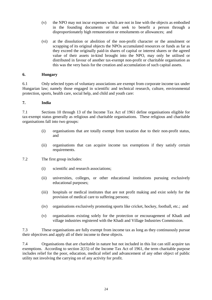- <span id="page-27-0"></span>(v) the NPO may not incur expenses which are not in line with the objects as embodied in the founding documents or that seek to benefit a person through a disproportionately high remuneration or emoluments or allowances; and
- (vi) at the dissolution or abolition of the non-profit character or the annulment or scrapping of its original objects the NPOs accumulated resources or funds as far as they exceed the originally paid-in shares of capital or interest shares or the agreed value of their assets in-kind brought into the NPO, may only be utilised or distributed in favour of another tax-exempt non-profit or charitable organisation as this was the very basis for the creation and accumulation of such capital assets.

#### **6. Hungary**

6.1 Only selected types of voluntary associations are exempt from corporate income tax under Hungarian law; namely those engaged in scientific and technical research, culture, environmental protection, sports, health care, social help, and child and youth care:

#### **7. India**

7.1 Sections 10 through 13 of the Income Tax Act of 1961 define organisations eligible for tax-exempt status generally as religious and charitable organisations. These religious and charitable organisations fall into two groups:

- (i) organisations that are totally exempt from taxation due to their non-profit status, and
- (ii) organisations that can acquire income tax exemptions if they satisfy certain requirements.
- 7.2 The first group includes:
	- (i) scientific and research associations;
	- (ii) universities, colleges, or other educational institutions pursuing exclusively educational purposes;
	- (iii) hospitals or medical institutes that are not profit making and exist solely for the provision of medical care to suffering persons;
	- (iv) organisations exclusively promoting sports like cricket, hockey, football, etc.; and
	- (v) organisations existing solely for the protection or encouragement of Khadi and village industries registered with the Khadi and Village Industries Commission.

7.3 These organisations are fully exempt from income tax as long as they continuously pursue their objectives and apply all of their income to these objects.

7.4 Organisations that are charitable in nature but not included in this list can still acquire tax exemptions. According to section 2(15) of the Income Tax Act of 1961, the term charitable purpose includes relief for the poor, education, medical relief and advancement of any other object of public utility not involving the carrying on of any activity for profit.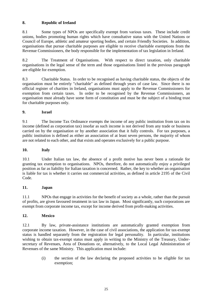# <span id="page-28-0"></span>**8. Republic of Ireland**

8.1 Some types of NPOs are specifically exempt from various taxes. These include credit unions, bodies promoting human rights which have consultative status with the United Nations or Council of Europe, athletic and amateur sporting bodies, and certain Friendly Societies. In addition, organisations that pursue charitable purposes are eligible to receive charitable exemptions from the Revenue Commissioners, the body responsible for the implementation of tax legislation in Ireland.

8.2 The Treatment of Organisations. With respect to direct taxation, only charitable organisations in the legal sense of the term and those organisations listed in the previous paragraph are eligible for exemption.

8.3 Charitable Status. In order to be recognised as having charitable status, the objects of the organisation must be entirely "charitable" as defined through years of case law. Since there is no official register of charities in Ireland, organisations must apply to the Revenue Commissioners for exemption from certain taxes. In order to be recognised by the Revenue Commissioners, an organisation must already have some form of constitution and must be the subject of a binding trust for charitable purposes only.

# **9. Israel**

9.1 The Income Tax Ordinance exempts the income of any public institution from tax on its income (defined as corporation tax) insofar as such income is not derived from any trade or business carried on by the organisation or by another association that it fully controls. For tax purposes, a public institution is defined as either an association of at least seven persons, the majority of whom are not related to each other, and that exists and operates exclusively for a public purpose.

#### **10. Italy**

10.1 Under Italian tax law, the absence of a profit motive has never been a rationale for granting tax exemption to organisations. NPOs, therefore, do not automatically enjoy a privileged position as far as liability for Italian taxation is concerned. Rather, the key to whether an organisation is liable for tax is whether it carries out commercial activities, as defined in article 2195 of the Civil Code.

#### **11. Japan**

11.1 NPOs that engage in activities for the benefit of society as a whole, rather than the pursuit of profits, are given favoured treatment in tax law in Japan. Most significantly, such corporations are exempt from corporate income tax, except for income derived from profit-making activities.

#### **12. Mexico**

12.1 By law, private-assistance institutions are automatically granted exemption from corporate income taxation. However, in the case of civil associations, the application for tax-exempt status is handled separately from the registration for legal personality. In particular, institutions wishing to obtain tax-exempt status must apply in writing to the Ministry of the Treasury, Undersecretary of Revenues, Area of Donations or, alternatively, to the Local Legal Administration of Revenues of the same Ministry. This application must include:

> (i) the section of the law declaring the proposed activities to be eligible for tax exemption;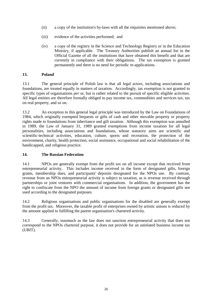- <span id="page-29-0"></span>(ii) a copy of the institution's by-laws with all the requisites mentioned above;
- (iii) evidence of the activities performed; and
- (iv) a copy of the registry in the Science and Technology Registry or in the Education Ministry, if applicable. The Treasury Authorities publish an annual list in the Official Gazette of all the institutions that have obtained this benefit and that are currently in compliance with their obligations. The tax exemption is granted permanently and there is no need for periodic re-applications.

#### **13. Poland**

13.1 The general principle of Polish law is that all legal actors, including associations and foundations, are treated equally in matters of taxation. Accordingly, tax exemption is not granted to specific types of organisations *per se*, but is rather related to the pursuit of specific eligible activities. All legal entities are therefore formally obliged to pay income tax, commodities and services tax, tax on real property, and so on.

13.2 An exception to this general legal principle was introduced by the Law on Foundations of 1984, which originally exempted bequests or gifts of cash and other movable property or property rights made to foundations from inheritance and gift taxation. Although this exemption was annulled in 1989, the Law of January 31, 1989 granted exemptions from income taxation for all legal personalities, including associations and foundations, whose statutory aims are scientific and scientific-technical activities, education, culture, sports and recreation, the protection of the environment, charity, health protection, social assistance, occupational and social rehabilitation of the handicapped, and religious practice.

#### **14. The Russian Federation**

14.1 NPOs are generally exempt from the profit tax on all income except that received from entrepreneurial activity. This includes income received in the form of designated gifts, foreign grants, membership dues, and participants' deposits designated for the NPOs use. By contrast, revenue from an NPOs entrepreneurial activity is subject to taxation, as is revenue received through partnerships or joint ventures with commercial organisations. In addition, the government has the right to confiscate from the NPO the amount of income from foreign grants or designated gifts not used according to the designated purposes.

14.2 Religious organisations and public organisations for the disabled are generally exempt from the profit tax. Moreover, the taxable profit of enterprises owned by artistic unions is reduced by the amount applied to fulfilling the parent organisation's chartered activity.

14.3 Generally, inasmuch as the law does not sanction entrepreneurial activity that does not correspond to the NPOs chartered purpose, it does not provide for an unrelated business income tax (UBIT).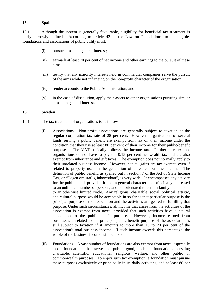#### <span id="page-30-0"></span>**15. Spain**

15.1 Although the system is generally favourable, eligibility for beneficial tax treatment is fairly narrowly defined. According to article 42 of the Law on Foundations, to be eligible, foundations and associations of public utility must:

- (i) pursue aims of a general interest;
- (ii) earmark at least 70 per cent of net income and other earnings to the pursuit of these aims;
- (iii) testify that any majority interests held in commercial companies serve the pursuit of the aims while not infringing on the non-profit character of the organisation;
- (iv) render accounts to the Public Administration; and
- (v) in the case of dissolution, apply their assets to other organisations pursuing similar aims of a general interest.

#### **16. Sweden**

- 16.1 The tax treatment of organisations is as follows.
	- (i) Associations. Non-profit associations are generally subject to taxation at the regular corporation tax rate of 28 per cent. However, organisations of several kinds serving a public benefit are exempt from tax on their income under the condition that they use at least 80 per cent of their income for their public-benefit purposes. The VAT basically follows the income tax. Furthermore, exempt organisations do not have to pay the 0.15 per cent net wealth tax and are also exempt from inheritance and gift taxes. The exemption does not normally apply to their unrelated business income. However, capital gains are tax exempt, even if related to property used in the generation of unrelated business income. The definition of public benefit, as spelled out in section 7 of the Act of State Income Tax, or "Lagen om statlig inkomstkatt", is very wide. It encompasses any activity for the public good, provided it is of a general character and principally addressed to an unlimited number of persons, and not orientated to certain family members or to an otherwise limited circle. Any religious, charitable, social, political, artistic, and cultural purpose would be acceptable in so far as that particular purpose is the principal purpose of the association and the activities are geared to fulfilling that purpose. Under such circumstances, all income that arises from the activities of the association is exempt from taxes, provided that such activities have a natural connection to the public-benefit purpose. However, income earned from businesses unrelated to the principal public-benefit purpose of the association is still subject to taxation if it amounts to more than 15 to 20 per cent of the association's total business income. If such income exceeds this percentage, the whole of the business income will be taxed.
	- (ii) Foundations. A vast number of foundations are also exempt from taxes, especially those foundations that serve the public good, such as foundations pursuing charitable, scientific, educational, religious, welfare, and other public or commonwealth purposes. To enjoy such tax exemption, a foundation must pursue these purposes exclusively or principally in its daily activities, and at least 80 per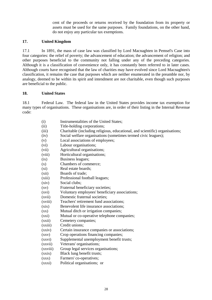cent of the proceeds or returns received by the foundation from its property or assets must be used for the same purposes. Family foundations, on the other hand, do not enjoy any particular tax exemptions.

#### <span id="page-31-0"></span>**17. United Kingdom**

17.1 In 1891, the mass of case law was classified by Lord Macnaghten in Pemsel's Case into four categories: the relief of poverty; the advancement of education; the advancement of religion; and other purposes beneficial to the community not falling under any of the preceding categories. Although it is a classification of convenience only, it has constantly been referred to in later cases. Although courts have recognised that the law of charities may have evolved since Lord Macnaghten's classification, it remains the case that purposes which are neither enumerated in the preamble nor, by analogy, deemed to be within its spirit and intendment are not charitable, even though such purposes are beneficial to the public.

#### **18. United States**

18.1 Federal Law. The federal law in the United States provides income tax exemption for many types of organisations. These organisations are, in order of their listing in the Internal Revenue code:

- (i) Instrumentalities of the United States;
- (ii) Title-holding corporations;
- (iii) Charitable (including religious, educational, and scientific) organisations;
- (iv) Social welfare organisations (sometimes termed civic leagues);
- (v) Local associations of employees;
- (vi) Labour organisations;
- (vii) Agricultural organisations;
- (viii) Horticultural organisations;
- (ix) Business leagues;
- (x) Chambers of commerce;
- (xi) Real estate boards;
- (xii) Boards of trade;
- (xiii) Professional football leagues;
- (xiv) Social clubs;
- (xv) Fraternal beneficiary societies;
- (xvi) Voluntary employees' beneficiary associations;
- (xvii) Domestic fraternal societies;
- (xviii) Teachers' retirement fund associations;
- (xix) Benevolent life insurance associations;
- (xx) Mutual ditch or irrigation companies;
- (xxi) Mutual or co-operative telephone companies;
- (xxii) Cemetery companies;
- (xxiii) Credit unions;
- (xxiv) Certain insurance companies or associations;
- (xxv) Crop operations financing companies;
- (xxvi) Supplemental unemployment benefit trusts;
- (xxvii) Veterans' organisations;
- (xxviii) Group legal services organisations;
- (xxix) Black lung benefit trusts;
- (xxx) Farmers' co-operatives;
- (xxxi) Political organisations; or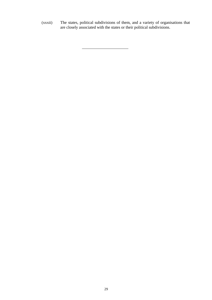(xxxii) The states, political subdivisions of them, and a variety of organisations that are closely associated with the states or their political subdivisions.